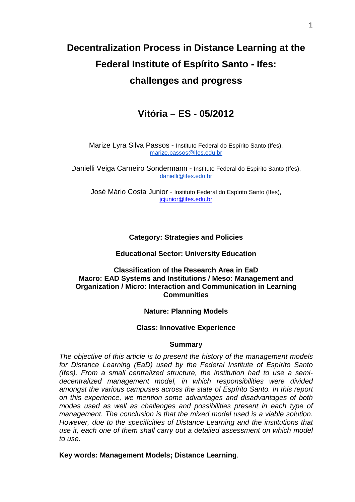# **Decentralization Process in Distance Learning at the Federal Institute of Espírito Santo - Ifes: challenges and progress**

# **Vitória – ES - 05/2012**

Marize Lyra Silva Passos - Instituto Federal do Espírito Santo (Ifes), marize.passos@ifes.edu.br

Danielli Veiga Carneiro Sondermann - Instituto Federal do Espírito Santo (Ifes), danielli@ifes.edu.br

José Mário Costa Junior - Instituto Federal do Espírito Santo (Ifes), jcjunior@ifes.edu.br

# **Category: Strategies and Policies**

## **Educational Sector: University Education**

## **Classification of the Research Area in EaD Macro: EAD Systems and Institutions / Meso: Management and Organization / Micro: Interaction and Communication in Learning Communities**

#### **Nature: Planning Models**

#### **Class: Innovative Experience**

#### **Summary**

The objective of this article is to present the history of the management models for Distance Learning (EaD) used by the Federal Institute of Espírito Santo (Ifes). From a small centralized structure, the institution had to use a semidecentralized management model, in which responsibilities were divided amongst the various campuses across the state of Espírito Santo. In this report on this experience, we mention some advantages and disadvantages of both modes used as well as challenges and possibilities present in each type of management. The conclusion is that the mixed model used is a viable solution. However, due to the specificities of Distance Learning and the institutions that use it, each one of them shall carry out a detailed assessment on which model to use.

**Key words: Management Models; Distance Learning**.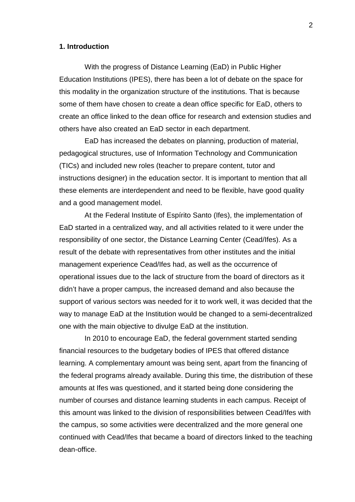#### **1. Introduction**

With the progress of Distance Learning (EaD) in Public Higher Education Institutions (IPES), there has been a lot of debate on the space for this modality in the organization structure of the institutions. That is because some of them have chosen to create a dean office specific for EaD, others to create an office linked to the dean office for research and extension studies and others have also created an EaD sector in each department.

EaD has increased the debates on planning, production of material, pedagogical structures, use of Information Technology and Communication (TICs) and included new roles (teacher to prepare content, tutor and instructions designer) in the education sector. It is important to mention that all these elements are interdependent and need to be flexible, have good quality and a good management model.

At the Federal Institute of Espírito Santo (Ifes), the implementation of EaD started in a centralized way, and all activities related to it were under the responsibility of one sector, the Distance Learning Center (Cead/Ifes). As a result of the debate with representatives from other institutes and the initial management experience Cead/Ifes had, as well as the occurrence of operational issues due to the lack of structure from the board of directors as it didn't have a proper campus, the increased demand and also because the support of various sectors was needed for it to work well, it was decided that the way to manage EaD at the Institution would be changed to a semi-decentralized one with the main objective to divulge EaD at the institution.

In 2010 to encourage EaD, the federal government started sending financial resources to the budgetary bodies of IPES that offered distance learning. A complementary amount was being sent, apart from the financing of the federal programs already available. During this time, the distribution of these amounts at Ifes was questioned, and it started being done considering the number of courses and distance learning students in each campus. Receipt of this amount was linked to the division of responsibilities between Cead/Ifes with the campus, so some activities were decentralized and the more general one continued with Cead/Ifes that became a board of directors linked to the teaching dean-office.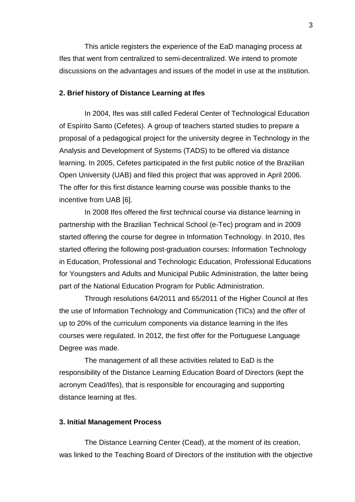This article registers the experience of the EaD managing process at Ifes that went from centralized to semi-decentralized. We intend to promote discussions on the advantages and issues of the model in use at the institution.

#### **2. Brief history of Distance Learning at Ifes**

In 2004, Ifes was still called Federal Center of Technological Education of Espírito Santo (Cefetes). A group of teachers started studies to prepare a proposal of a pedagogical project for the university degree in Technology in the Analysis and Development of Systems (TADS) to be offered via distance learning. In 2005, Cefetes participated in the first public notice of the Brazilian Open University (UAB) and filed this project that was approved in April 2006. The offer for this first distance learning course was possible thanks to the incentive from UAB [6].

In 2008 Ifes offered the first technical course via distance learning in partnership with the Brazilian Technical School (e-Tec) program and in 2009 started offering the course for degree in Information Technology. In 2010, Ifes started offering the following post-graduation courses: Information Technology in Education, Professional and Technologic Education, Professional Educations for Youngsters and Adults and Municipal Public Administration, the latter being part of the National Education Program for Public Administration.

Through resolutions 64/2011 and 65/2011 of the Higher Council at Ifes the use of Information Technology and Communication (TICs) and the offer of up to 20% of the curriculum components via distance learning in the Ifes courses were regulated. In 2012, the first offer for the Portuguese Language Degree was made.

The management of all these activities related to EaD is the responsibility of the Distance Learning Education Board of Directors (kept the acronym Cead/Ifes), that is responsible for encouraging and supporting distance learning at Ifes.

#### **3. Initial Management Process**

The Distance Learning Center (Cead), at the moment of its creation, was linked to the Teaching Board of Directors of the institution with the objective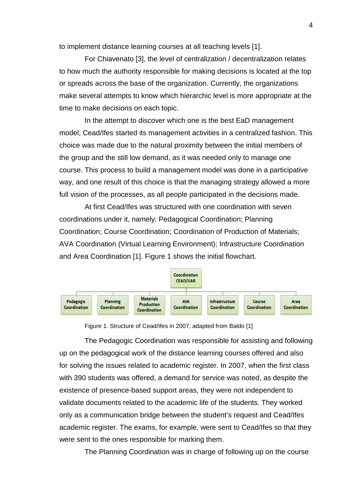to implement distance learning courses at all teaching levels [1].

For Chiavenato [3], the level of centralization / decentralization relates to how much the authority responsible for making decisions is located at the top or spreads across the base of the organization. Currently, the organizations make several attempts to know which hierarchic level is more appropriate at the time to make decisions on each topic.

In the attempt to discover which one is the best EaD management model, Cead/Ifes started its management activities in a centralized fashion. This choice was made due to the natural proximity between the initial members of the group and the still low demand, as it was needed only to manage one course. This process to build a management model was done in a participative way, and one result of this choice is that the managing strategy allowed a more full vision of the processes, as all people participated in the decisions made.

At first Cead/Ifes was structured with one coordination with seven coordinations under it, namely: Pedagogical Coordination; Planning Coordination; Course Coordination; Coordination of Production of Materials; AVA Coordination (Virtual Learning Environment); Infrastructure Coordination and Area Coordination [1]. Figure 1 shows the initial flowchart.



Figure 1. Structure of Cead/Ifes in 2007, adapted from Baldo [1]

The Pedagogic Coordination was responsible for assisting and following up on the pedagogical work of the distance learning courses offered and also for solving the issues related to academic register. In 2007, when the first class with 390 students was offered, a demand for service was noted, as despite the existence of presence-based support areas, they were not independent to validate documents related to the academic life of the students. They worked only as a communication bridge between the student's request and Cead/Ifes academic register. The exams, for example, were sent to Cead/Ifes so that they were sent to the ones responsible for marking them.

The Planning Coordination was in charge of following up on the course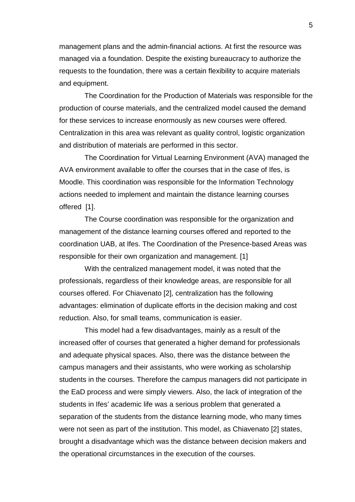management plans and the admin-financial actions. At first the resource was managed via a foundation. Despite the existing bureaucracy to authorize the requests to the foundation, there was a certain flexibility to acquire materials and equipment.

The Coordination for the Production of Materials was responsible for the production of course materials, and the centralized model caused the demand for these services to increase enormously as new courses were offered. Centralization in this area was relevant as quality control, logistic organization and distribution of materials are performed in this sector.

The Coordination for Virtual Learning Environment (AVA) managed the AVA environment available to offer the courses that in the case of Ifes, is Moodle. This coordination was responsible for the Information Technology actions needed to implement and maintain the distance learning courses offered [1].

The Course coordination was responsible for the organization and management of the distance learning courses offered and reported to the coordination UAB, at Ifes. The Coordination of the Presence-based Areas was responsible for their own organization and management. [1]

With the centralized management model, it was noted that the professionals, regardless of their knowledge areas, are responsible for all courses offered. For Chiavenato [2], centralization has the following advantages: elimination of duplicate efforts in the decision making and cost reduction. Also, for small teams, communication is easier.

This model had a few disadvantages, mainly as a result of the increased offer of courses that generated a higher demand for professionals and adequate physical spaces. Also, there was the distance between the campus managers and their assistants, who were working as scholarship students in the courses. Therefore the campus managers did not participate in the EaD process and were simply viewers. Also, the lack of integration of the students in Ifes' academic life was a serious problem that generated a separation of the students from the distance learning mode, who many times were not seen as part of the institution. This model, as Chiavenato [2] states, brought a disadvantage which was the distance between decision makers and the operational circumstances in the execution of the courses.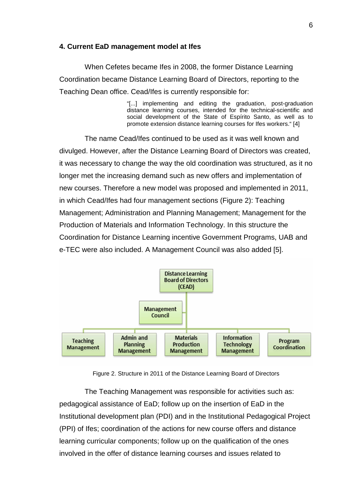#### **4. Current EaD management model at Ifes**

When Cefetes became Ifes in 2008, the former Distance Learning Coordination became Distance Learning Board of Directors, reporting to the Teaching Dean office. Cead/Ifes is currently responsible for:

> "[...] implementing and editing the graduation, post-graduation distance learning courses, intended for the technical-scientific and social development of the State of Espírito Santo, as well as to promote extension distance learning courses for Ifes workers." [4]

The name Cead/Ifes continued to be used as it was well known and divulged. However, after the Distance Learning Board of Directors was created, it was necessary to change the way the old coordination was structured, as it no longer met the increasing demand such as new offers and implementation of new courses. Therefore a new model was proposed and implemented in 2011, in which Cead/Ifes had four management sections (Figure 2): Teaching Management; Administration and Planning Management; Management for the Production of Materials and Information Technology. In this structure the Coordination for Distance Learning incentive Government Programs, UAB and e-TEC were also included. A Management Council was also added [5].



Figure 2. Structure in 2011 of the Distance Learning Board of Directors

The Teaching Management was responsible for activities such as: pedagogical assistance of EaD; follow up on the insertion of EaD in the Institutional development plan (PDI) and in the Institutional Pedagogical Project (PPI) of Ifes; coordination of the actions for new course offers and distance learning curricular components; follow up on the qualification of the ones involved in the offer of distance learning courses and issues related to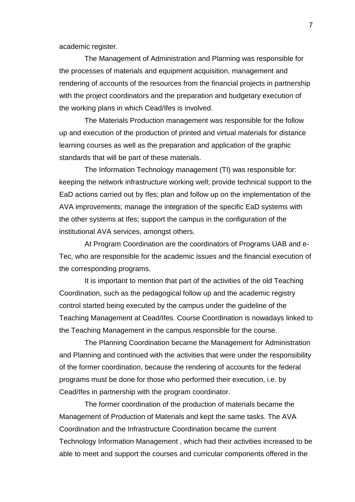academic register.

The Management of Administration and Planning was responsible for the processes of materials and equipment acquisition, management and rendering of accounts of the resources from the financial projects in partnership with the project coordinators and the preparation and budgetary execution of the working plans in which Cead/Ifes is involved.

The Materials Production management was responsible for the follow up and execution of the production of printed and virtual materials for distance learning courses as well as the preparation and application of the graphic standards that will be part of these materials.

The Information Technology management (TI) was responsible for: keeping the network infrastructure working well; provide technical support to the EaD actions carried out by Ifes; plan and follow up on the implementation of the AVA improvements; manage the integration of the specific EaD systems with the other systems at Ifes; support the campus in the configuration of the institutional AVA services, amongst others.

At Program Coordination are the coordinators of Programs UAB and e-Tec, who are responsible for the academic issues and the financial execution of the corresponding programs.

It is important to mention that part of the activities of the old Teaching Coordination, such as the pedagogical follow up and the academic registry control started being executed by the campus under the guideline of the Teaching Management at Cead/Ifes. Course Coordination is nowadays linked to the Teaching Management in the campus responsible for the course.

The Planning Coordination became the Management for Administration and Planning and continued with the activities that were under the responsibility of the former coordination, because the rendering of accounts for the federal programs must be done for those who performed their execution, i.e. by Cead/Ifes in partnership with the program coordinator.

The former coordination of the production of materials became the Management of Production of Materials and kept the same tasks. The AVA Coordination and the Infrastructure Coordination became the current Technology Information Management , which had their activities increased to be able to meet and support the courses and curricular components offered in the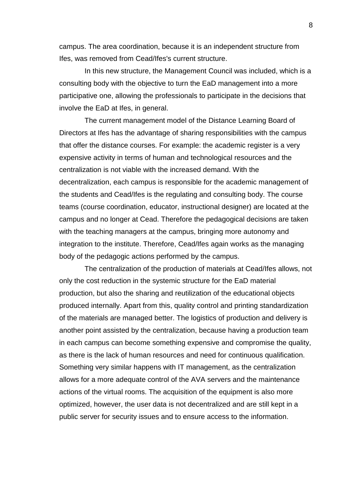campus. The area coordination, because it is an independent structure from Ifes, was removed from Cead/Ifes's current structure.

In this new structure, the Management Council was included, which is a consulting body with the objective to turn the EaD management into a more participative one, allowing the professionals to participate in the decisions that involve the EaD at Ifes, in general.

The current management model of the Distance Learning Board of Directors at Ifes has the advantage of sharing responsibilities with the campus that offer the distance courses. For example: the academic register is a very expensive activity in terms of human and technological resources and the centralization is not viable with the increased demand. With the decentralization, each campus is responsible for the academic management of the students and Cead/Ifes is the regulating and consulting body. The course teams (course coordination, educator, instructional designer) are located at the campus and no longer at Cead. Therefore the pedagogical decisions are taken with the teaching managers at the campus, bringing more autonomy and integration to the institute. Therefore, Cead/Ifes again works as the managing body of the pedagogic actions performed by the campus.

The centralization of the production of materials at Cead/Ifes allows, not only the cost reduction in the systemic structure for the EaD material production, but also the sharing and reutilization of the educational objects produced internally. Apart from this, quality control and printing standardization of the materials are managed better. The logistics of production and delivery is another point assisted by the centralization, because having a production team in each campus can become something expensive and compromise the quality, as there is the lack of human resources and need for continuous qualification. Something very similar happens with IT management, as the centralization allows for a more adequate control of the AVA servers and the maintenance actions of the virtual rooms. The acquisition of the equipment is also more optimized, however, the user data is not decentralized and are still kept in a public server for security issues and to ensure access to the information.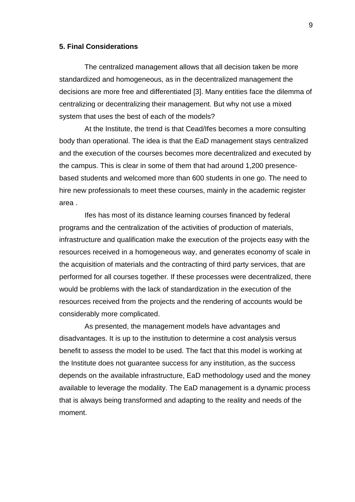#### **5. Final Considerations**

The centralized management allows that all decision taken be more standardized and homogeneous, as in the decentralized management the decisions are more free and differentiated [3]. Many entities face the dilemma of centralizing or decentralizing their management. But why not use a mixed system that uses the best of each of the models?

At the Institute, the trend is that Cead/Ifes becomes a more consulting body than operational. The idea is that the EaD management stays centralized and the execution of the courses becomes more decentralized and executed by the campus. This is clear in some of them that had around 1,200 presencebased students and welcomed more than 600 students in one go. The need to hire new professionals to meet these courses, mainly in the academic register area .

Ifes has most of its distance learning courses financed by federal programs and the centralization of the activities of production of materials, infrastructure and qualification make the execution of the projects easy with the resources received in a homogeneous way, and generates economy of scale in the acquisition of materials and the contracting of third party services, that are performed for all courses together. If these processes were decentralized, there would be problems with the lack of standardization in the execution of the resources received from the projects and the rendering of accounts would be considerably more complicated.

As presented, the management models have advantages and disadvantages. It is up to the institution to determine a cost analysis versus benefit to assess the model to be used. The fact that this model is working at the Institute does not guarantee success for any institution, as the success depends on the available infrastructure, EaD methodology used and the money available to leverage the modality. The EaD management is a dynamic process that is always being transformed and adapting to the reality and needs of the moment.